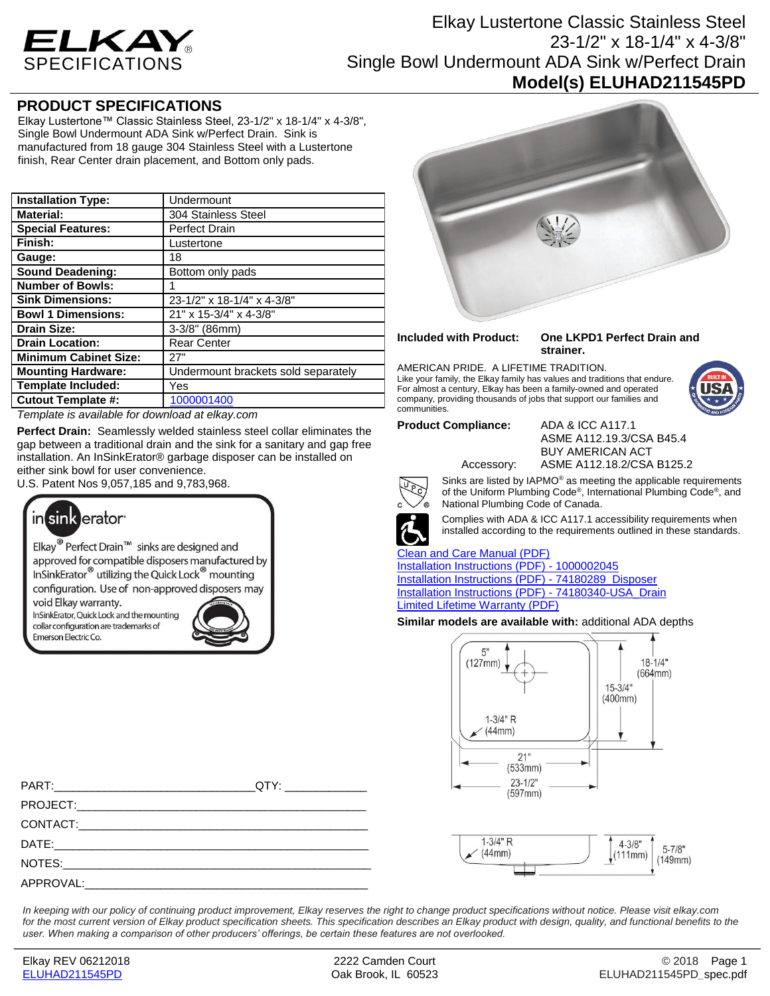

# Elkay Lustertone Classic Stainless Steel 23-1/2" x 18-1/4" x 4-3/8" Single Bowl Undermount ADA Sink w/Perfect Drain **Model(s) ELUHAD211545PD**

### **PRODUCT SPECIFICATIONS**

Elkay Lustertone™ Classic Stainless Steel, 23-1/2" x 18-1/4" x 4-3/8", Single Bowl Undermount ADA Sink w/Perfect Drain. Sink is manufactured from 18 gauge 304 Stainless Steel with a Lustertone finish, Rear Center drain placement, and Bottom only pads.

| <b>Installation Type:</b>    | Undermount                          |
|------------------------------|-------------------------------------|
| <b>Material:</b>             | 304 Stainless Steel                 |
| <b>Special Features:</b>     | <b>Perfect Drain</b>                |
| Finish:                      | Lustertone                          |
| Gauge:                       | 18                                  |
| <b>Sound Deadening:</b>      | Bottom only pads                    |
| <b>Number of Bowls:</b>      | 1                                   |
| <b>Sink Dimensions:</b>      | 23-1/2" x 18-1/4" x 4-3/8"          |
| <b>Bowl 1 Dimensions:</b>    | 21" x 15-3/4" x 4-3/8"              |
| <b>Drain Size:</b>           | $3-3/8"$ (86mm)                     |
| <b>Drain Location:</b>       | <b>Rear Center</b>                  |
| <b>Minimum Cabinet Size:</b> | 27"                                 |
| <b>Mounting Hardware:</b>    | Undermount brackets sold separately |
| <b>Template Included:</b>    | Yes                                 |
| <b>Cutout Template #:</b>    | 1000001400                          |

*Template is available for download at elkay.com*

**Perfect Drain:** Seamlessly welded stainless steel collar eliminates the gap between a traditional drain and the sink for a sanitary and gap free installation. An InSinkErator® garbage disposer can be installed on either sink bowl for user convenience.

U.S. Patent Nos 9,057,185 and 9,783,968.



Elkay<sup>®</sup> Perfect Drain<sup>™</sup> sinks are designed and approved for compatible disposers manufactured by InSinkErator<sup>®</sup> utilizing the Quick Lock<sup>®</sup> mounting configuration. Use of non-approved disposers may

void Elkay warranty. InSinkErator, Quick Lock and the mounting collar configuration are trademarks of Emerson Electric Co.





#### **Included with Product: One LKPD1 Perfect Drain and strainer.**

AMERICAN PRIDE. A LIFETIME TRADITION. Like your family, the Elkay family has values and traditions that endure. For almost a century, Elkay has been a family-owned and operated company, providing thousands of jobs that support our families and communities.

**Product Compliance:** ADA & ICC A117.1

ASME A112.19.3/CSA B45.4 BUY AMERICAN ACT Accessory: ASME A112.18.2/CSA B125.2



Sinks are listed by IAPMO® as meeting the applicable requirements of the Uniform Plumbing Code® , International Plumbing Code® , and National Plumbing Code of Canada.



Complies with ADA & ICC A117.1 accessibility requirements when installed according to the requirements outlined in these standards.

#### [Clean and Care Manual \(PDF\)](http://www.elkay.com/wcsstore/lkdocs/care-cleaning-install-warranty-sheets/residential%20and%20commercial%20care%20%20cleaning.pdf)

[Installation Instructions \(PDF\) -](http://www.elkay.com/wcsstore/lkdocs/care-cleaning-install-warranty-sheets/1000002045.pdf) 100000204[5](http://www.elkay.com/wcsstore/lkdocs/care-cleaning-install-warranty-sheets/1000002045.pdf) [Installation Instructions \(PDF\) -](http://www.elkay.com/wcsstore/lkdocs/care-cleaning-install-warranty-sheets/74180289_disposer.pdf) 74180289\_Dispose[r](http://www.elkay.com/wcsstore/lkdocs/care-cleaning-install-warranty-sheets/74180289_disposer.pdf) [Installation Instructions \(PDF\) -](http://www.elkay.com/wcsstore/lkdocs/care-cleaning-install-warranty-sheets/74180340-usa_drain.pdf) 74180340-USA\_Drai[n](http://www.elkay.com/wcsstore/lkdocs/care-cleaning-install-warranty-sheets/74180340-usa_drain.pdf) [Limited Lifetime Warranty](http://www.elkay.com/wcsstore/lkdocs/care-cleaning-install-warranty-sheets/residential%20sinks%20warranty.pdf) (PDF)

**Similar models are available with:** additional ADA depths





PART:\_\_\_\_\_\_\_\_\_\_\_\_\_\_\_\_\_\_\_\_\_\_\_\_\_\_\_\_\_\_\_\_QTY: \_\_\_\_\_\_\_\_\_\_\_\_\_ PROJECT: CONTACT: DATE:\_\_\_\_\_\_\_\_\_\_\_\_\_\_\_\_\_\_\_\_\_\_\_\_\_\_\_\_\_\_\_\_\_\_\_\_\_\_\_\_\_\_\_\_\_\_\_\_\_\_ NOTES: APPROVAL:

*In keeping with our policy of continuing product improvement, Elkay reserves the right to change product specifications without notice. Please visit elkay.com for the most current version of Elkay product specification sheets. This specification describes an Elkay product with design, quality, and functional benefits to the user. When making a comparison of other producers' offerings, be certain these features are not overlooked.*